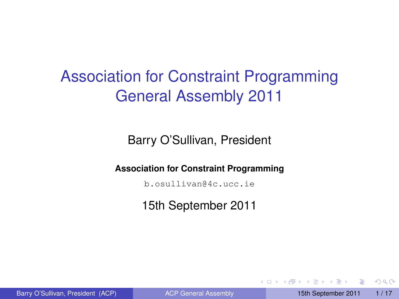# Association for Constraint Programming General Assembly 2011

Barry O'Sullivan, President

**Association for Constraint Programming**

b.osullivan@4c.ucc.ie

15th September 2011

4 0 8 1  $\leftarrow$  <span id="page-0-0"></span> $\Omega$ 

**The South Book**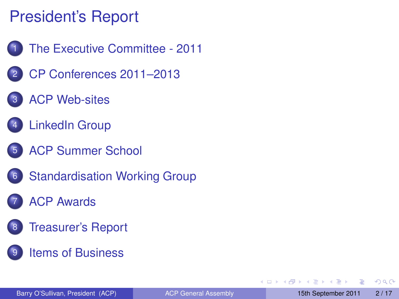# President's Report

- 1 [The Executive Committee 2011](#page-2-0)
- 2 [CP Conferences 2011–2013](#page-4-0)
- **[ACP Web-sites](#page-6-0)**
- **[LinkedIn Group](#page-7-0)**
- **[ACP Summer School](#page-8-0)**
- **[Standardisation Working Group](#page-9-0)**
- **[ACP Awards](#page-10-0)**
- **[Treasurer's Report](#page-13-0)**
- **[Items of Business](#page-14-0)**

 $\Omega$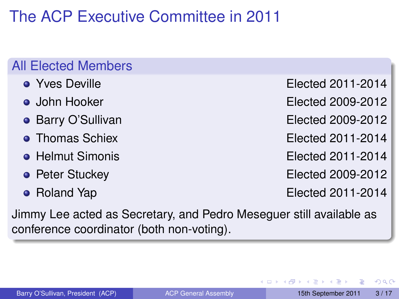# The ACP Executive Committee in 2011

### All Elected Members

- 
- 
- 
- 
- 
- 
- 

• Yves Deville **Elected 2011-2014** 

John Hooker Elected 2009-2012

**• Barry O'Sullivan Elected 2009-2012** 

• Thomas Schiex **Elected 2011-2014** 

Helmut Simonis Elected 2011-2014

**• Peter Stuckey Elected 2009-2012** 

• Roland Yap **Elected 2011-2014** 

Jimmy Lee acted as Secretary, and Pedro Meseguer still available as conference coordinator (both non-voting).

<span id="page-2-0"></span> $\Omega$ 

The South The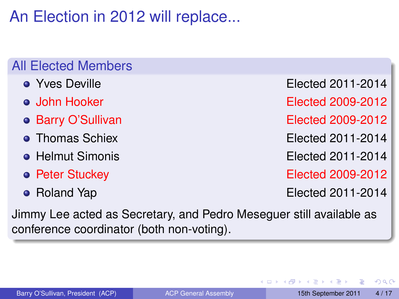An Election in 2012 will replace...

#### All Elected Members

- 
- 
- 
- 
- 
- 
- 

• Yves Deville **Elected 2011-2014** 

John Hooker Elected 2009-2012

• Barry O'Sullivan **Elected 2009-2012** 

• Thomas Schiex **Elected 2011-2014** 

Helmut Simonis Elected 2011-2014

**• Peter Stuckey Elected 2009-2012** 

• Roland Yap **Elected 2011-2014** 

Jimmy Lee acted as Secretary, and Pedro Meseguer still available as conference coordinator (both non-voting).

 $\Omega$ 

**All The South The**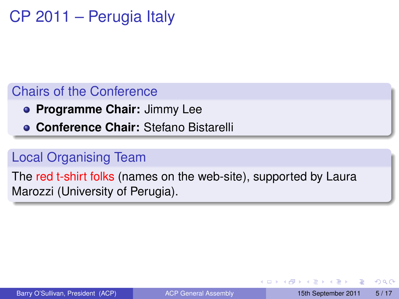# CP 2011 – Perugia Italy

### Chairs of the Conference

- **Programme Chair:** Jimmy Lee
- **Conference Chair:** Stefano Bistarelli

### Local Organising Team

The red t-shirt folks (names on the web-site), supported by Laura Marozzi (University of Perugia).

<span id="page-4-0"></span> $\Omega$ 

**All The South The** 

 $\leftarrow$   $\leftarrow$   $\leftarrow$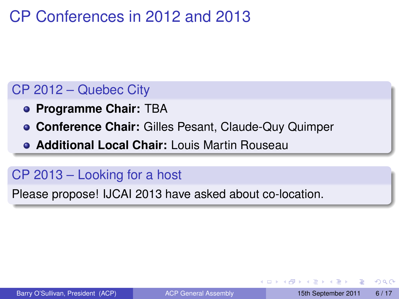# CP Conferences in 2012 and 2013

### CP 2012 – Quebec City

- **Programme Chair:** TBA
- **Conference Chair:** Gilles Pesant, Claude-Quy Quimper
- **Additional Local Chair:** Louis Martin Rouseau

### CP 2013 – Looking for a host

Please propose! IJCAI 2013 have asked about co-location.

 $\Omega$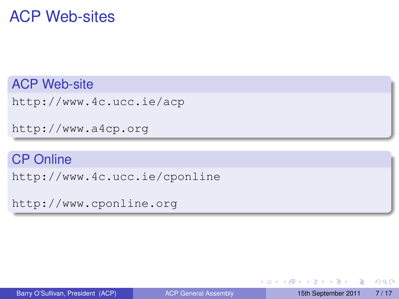## ACP Web-sites

ACP Web-site

<http://www.4c.ucc.ie/acp>

<http://www.a4cp.org>

#### CP Online

<http://www.4c.ucc.ie/cponline>

<http://www.cponline.org>

 $\equiv$ 

<span id="page-6-0"></span> $\Omega$ 

イロト イ押 トイラト イラト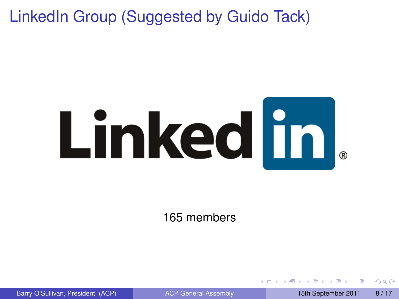LinkedIn Group (Suggested by Guido Tack)



165 members

<span id="page-7-0"></span> $\Omega$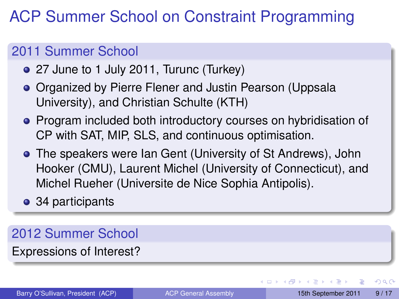# ACP Summer School on Constraint Programming

### 2011 Summer School

- 27 June to 1 July 2011, Turunc (Turkey)
- **Organized by Pierre Flener and Justin Pearson (Uppsala** University), and Christian Schulte (KTH)
- **Program included both introductory courses on hybridisation of** CP with SAT, MIP, SLS, and continuous optimisation.
- The speakers were Ian Gent (University of St Andrews), John Hooker (CMU), Laurent Michel (University of Connecticut), and Michel Rueher (Universite de Nice Sophia Antipolis).
- 34 participants

### 2012 Summer School

Expressions of Interest?

<span id="page-8-0"></span> $\Omega$ 

イロト イ押ト イヨト イヨト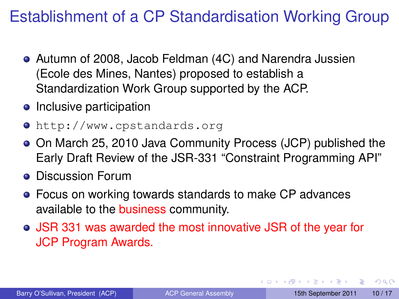# Establishment of a CP Standardisation Working Group

- Autumn of 2008, Jacob Feldman (4C) and Narendra Jussien (Ecole des Mines, Nantes) proposed to establish a Standardization Work Group supported by the ACP.
- Inclusive participation
- <http://www.cpstandards.org>
- On March 25, 2010 Java Community Process (JCP) published the Early Draft Review of the JSR-331 "Constraint Programming API"
- **Discussion Forum**
- Focus on working towards standards to make CP advances available to the business community.
- JSR 331 was awarded the most innovative JSR of the year for JCP Program Awards.

в

<span id="page-9-0"></span> $\Omega$ 

 $(0,1)$   $(0,1)$   $(0,1)$   $(1,1)$   $(1,1)$   $(1,1)$   $(1,1)$   $(1,1)$   $(1,1)$   $(1,1)$   $(1,1)$   $(1,1)$   $(1,1)$   $(1,1)$   $(1,1)$   $(1,1)$   $(1,1)$   $(1,1)$   $(1,1)$   $(1,1)$   $(1,1)$   $(1,1)$   $(1,1)$   $(1,1)$   $(1,1)$   $(1,1)$   $(1,1)$   $(1,1$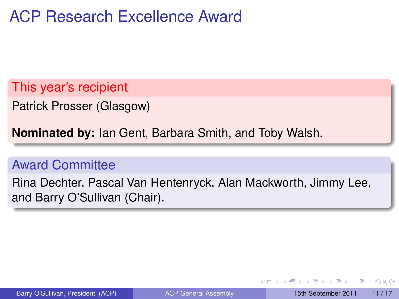## ACP Research Excellence Award

This year's recipient

Patrick Prosser (Glasgow)

**Nominated by:** Ian Gent, Barbara Smith, and Toby Walsh.

#### Award Committee

Rina Dechter, Pascal Van Hentenryck, Alan Mackworth, Jimmy Lee, and Barry O'Sullivan (Chair).

<span id="page-10-0"></span> $\Omega$ 

イロト イ押 トイラト イラト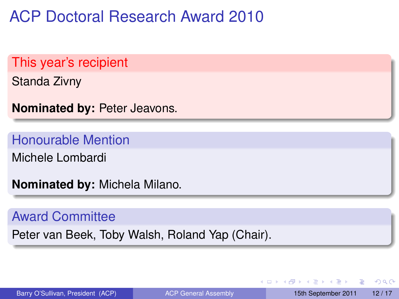ACP Doctoral Research Award 2010

This year's recipient

Standa Zivny

**Nominated by:** Peter Jeavons.

Honourable Mention

Michele Lombardi

**Nominated by:** Michela Milano.

#### Award Committee

Peter van Beek, Toby Walsh, Roland Yap (Chair).

Barry O'Sullivan, President (ACP) [ACP General Assembly](#page-0-0) 15th September 2011 12/17

в

 $\Omega$ 

 $(0,1)$   $(0,1)$   $(0,1)$   $(1,1)$   $(1,1)$   $(1,1)$   $(1,1)$   $(1,1)$   $(1,1)$   $(1,1)$   $(1,1)$   $(1,1)$   $(1,1)$   $(1,1)$   $(1,1)$   $(1,1)$   $(1,1)$   $(1,1)$   $(1,1)$   $(1,1)$   $(1,1)$   $(1,1)$   $(1,1)$   $(1,1)$   $(1,1)$   $(1,1)$   $(1,1)$   $(1,1$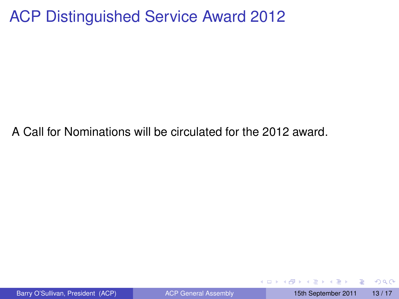### ACP Distinguished Service Award 2012

A Call for Nominations will be circulated for the 2012 award.

Þ

 $\Omega$ 

化重新分量

4 0 8 1  $\leftarrow$   $\leftarrow$   $\leftarrow$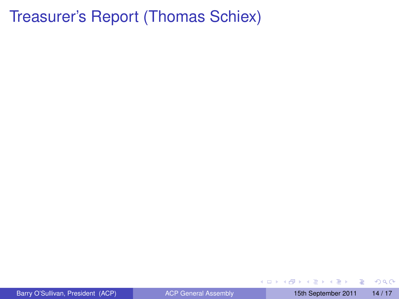## Treasurer's Report (Thomas Schiex)

Barry O'Sullivan, President (ACP) [ACP General Assembly](#page-0-0) 15th September 2011 14/17

重

<span id="page-13-0"></span> $299$ 

(ロトイ部)→(差)→(差)→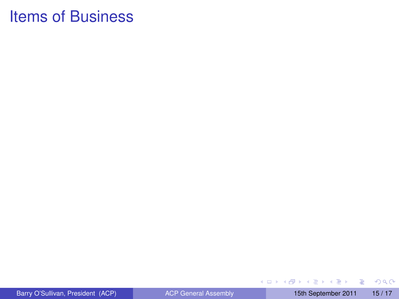重

<span id="page-14-0"></span> $299$ 

メロトメ 御 トメ 君 トメ 君 ト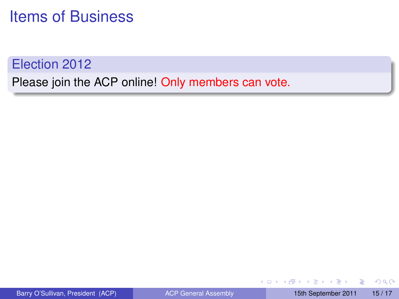### Election 2012

Please join the ACP online! Only members can vote.

÷.

 $QQ$ 

イロト イ押ト イヨト イヨト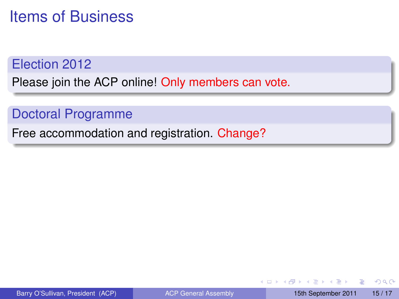#### Election 2012

Please join the ACP online! Only members can vote.

### Doctoral Programme

Free accommodation and registration. Change?

4 0 8 1

E

 $\Omega$ 

 $\mathcal{A}$   $\overline{\mathcal{B}}$   $\rightarrow$   $\mathcal{A}$   $\overline{\mathcal{B}}$   $\rightarrow$   $\mathcal{A}$   $\overline{\mathcal{B}}$   $\rightarrow$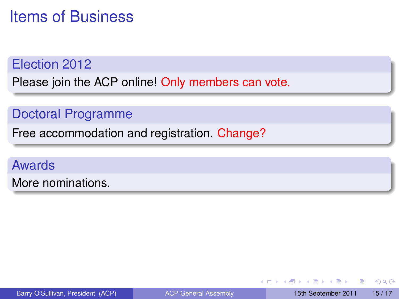#### Election 2012

Please join the ACP online! Only members can vote.

### Doctoral Programme

Free accommodation and registration. Change?

### Awards

More nominations.

в

 $\Omega$ 

イロト イ押 トイラト イラト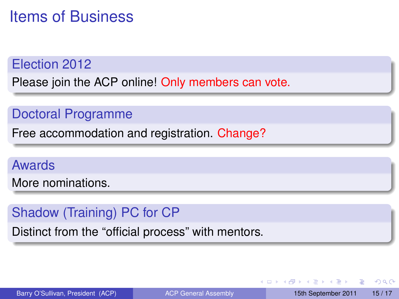#### Election 2012

Please join the ACP online! Only members can vote.

### Doctoral Programme

Free accommodation and registration. Change?

#### Awards

More nominations.

### Shadow (Training) PC for CP

Distinct from the "official process" with mentors.

 $\equiv$ 

 $\Omega$ 

イロト イ押 トイラ トイラトー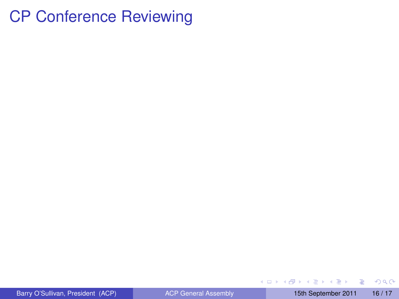## CP Conference Reviewing

重

 $299$ 

メロトメ 御 トメ 君 トメ 君 ト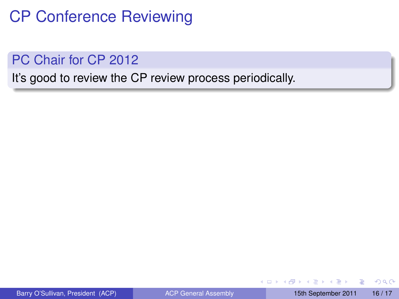# CP Conference Reviewing

PC Chair for CP 2012

It's good to review the CP review process periodically.

4 0 8  $\leftarrow$   $\leftarrow$   $\leftarrow$  Þ

 $\Omega$ 

医单位 医单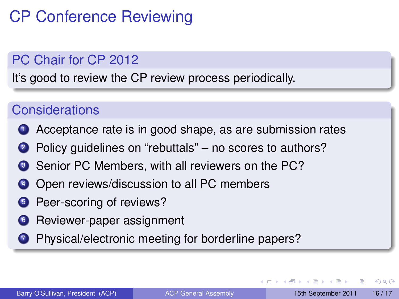# CP Conference Reviewing

### PC Chair for CP 2012

It's good to review the CP review process periodically.

### **Considerations**

- **1** Acceptance rate is in good shape, as are submission rates
- 2 Policy quidelines on "rebuttals" no scores to authors?
- <sup>3</sup> Senior PC Members, with all reviewers on the PC?
- <sup>4</sup> Open reviews/discussion to all PC members
- **5** Peer-scoring of reviews?
- **6** Reviewer-paper assignment
- **2** Physical/electronic meeting for borderline papers?

 $\Omega$ 

化重氮化重氮

4 ロ ト ィ *同* ト